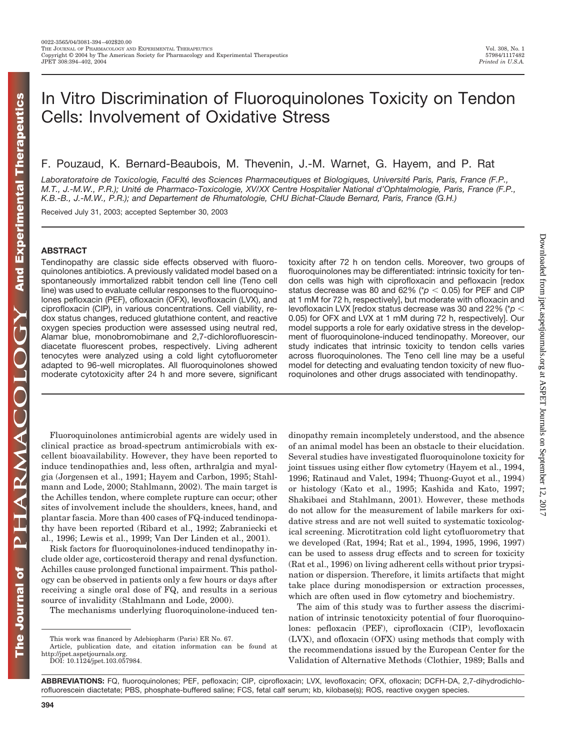# In Vitro Discrimination of Fluoroquinolones Toxicity on Tendon Cells: Involvement of Oxidative Stress

F. Pouzaud, K. Bernard-Beaubois, M. Thevenin, J.-M. Warnet, G. Hayem, and P. Rat

Laboratoratoire de Toxicologie, Faculté des Sciences Pharmaceutiques et Biologiques, Université Paris, Paris, France (F.P., *M.T., J.-M.W., P.R.); Unite´ de Pharmaco-Toxicologie, XV/XX Centre Hospitalier National d'Ophtalmologie, Paris, France (F.P., K.B.-B., J.-M.W., P.R.); and Departement de Rhumatologie, CHU Bichat-Claude Bernard, Paris, France (G.H.)*

Received July 31, 2003; accepted September 30, 2003

# **ABSTRACT**

Tendinopathy are classic side effects observed with fluoroquinolones antibiotics. A previously validated model based on a spontaneously immortalized rabbit tendon cell line (Teno cell line) was used to evaluate cellular responses to the fluoroquinolones pefloxacin (PEF), ofloxacin (OFX), levofloxacin (LVX), and ciprofloxacin (CIP), in various concentrations. Cell viability, redox status changes, reduced glutathione content, and reactive oxygen species production were assessed using neutral red, Alamar blue, monobromobimane and 2,7-dichlorofluorescindiacetate fluorescent probes, respectively. Living adherent tenocytes were analyzed using a cold light cytofluorometer adapted to 96-well microplates. All fluoroquinolones showed moderate cytotoxicity after 24 h and more severe, significant

Fluoroquinolones antimicrobial agents are widely used in clinical practice as broad-spectrum antimicrobials with excellent bioavailability. However, they have been reported to induce tendinopathies and, less often, arthralgia and myalgia (Jorgensen et al., 1991; Hayem and Carbon, 1995; Stahlmann and Lode, 2000; Stahlmann, 2002). The main target is the Achilles tendon, where complete rupture can occur; other sites of involvement include the shoulders, knees, hand, and plantar fascia. More than 400 cases of FQ-induced tendinopathy have been reported (Ribard et al., 1992; Zabraniecki et al., 1996; Lewis et al., 1999; Van Der Linden et al., 2001).

Risk factors for fluoroquinolones-induced tendinopathy include older age, corticosteroid therapy and renal dysfunction. Achilles cause prolonged functional impairment. This pathology can be observed in patients only a few hours or days after receiving a single oral dose of FQ, and results in a serious source of invalidity (Stahlmann and Lode, 2000).

The mechanisms underlying fluoroquinolone-induced ten-

toxicity after 72 h on tendon cells. Moreover, two groups of fluoroquinolones may be differentiated: intrinsic toxicity for tendon cells was high with ciprofloxacin and pefloxacin [redox status decrease was 80 and 62% ( $p < 0.05$ ) for PEF and CIP at 1 mM for 72 h, respectively], but moderate with ofloxacin and levofloxacin LVX [redox status decrease was 30 and 22% (\**p* 0.05) for OFX and LVX at 1 mM during 72 h, respectively]. Our model supports a role for early oxidative stress in the development of fluoroquinolone-induced tendinopathy. Moreover, our study indicates that intrinsic toxicity to tendon cells varies across fluoroquinolones. The Teno cell line may be a useful model for detecting and evaluating tendon toxicity of new fluoroquinolones and other drugs associated with tendinopathy.

dinopathy remain incompletely understood, and the absence of an animal model has been an obstacle to their elucidation. Several studies have investigated fluoroquinolone toxicity for joint tissues using either flow cytometry (Hayem et al., 1994, 1996; Ratinaud and Valet, 1994; Thuong-Guyot et al., 1994) or histology (Kato et al., 1995; Kashida and Kato, 1997; Shakibaei and Stahlmann, 2001). However, these methods do not allow for the measurement of labile markers for oxidative stress and are not well suited to systematic toxicological screening. Microtitration cold light cytofluorometry that we developed (Rat, 1994; Rat et al., 1994, 1995, 1996, 1997) can be used to assess drug effects and to screen for toxicity (Rat et al., 1996) on living adherent cells without prior trypsination or dispersion. Therefore, it limits artifacts that might take place during monodispersion or extraction processes, which are often used in flow cytometry and biochemistry.

The aim of this study was to further assess the discrimination of intrinsic tenotoxicity potential of four fluoroquinolones: pefloxacin (PEF), ciprofloxacin (CIP), levofloxacin (LVX), and ofloxacin (OFX) using methods that comply with the recommendations issued by the European Center for the Validation of Alternative Methods (Clothier, 1989; Balls and

Downloaded from [jpet.aspetjournals.org](http://jpet.aspetjournals.org/) at ASPET Journals on September 12, 2017

 $.2017$ 

Downloaded from jpet.aspetjournals.org at ASPET Journals on September 12.

**394**

**ABBREVIATIONS:** FQ, fluoroquinolones; PEF, pefloxacin; CIP, ciprofloxacin; LVX, levofloxacin; OFX, ofloxacin; DCFH-DA, 2,7-dihydrodichlorofluorescein diactetate; PBS, phosphate-buffered saline; FCS, fetal calf serum; kb, kilobase(s); ROS, reactive oxygen species.

This work was financed by Adebiopharm (Paris) ER No. 67.

Article, publication date, and citation information can be found at http://jpet.aspetjournals.org.

DOI: 10.1124/jpet.103.057984.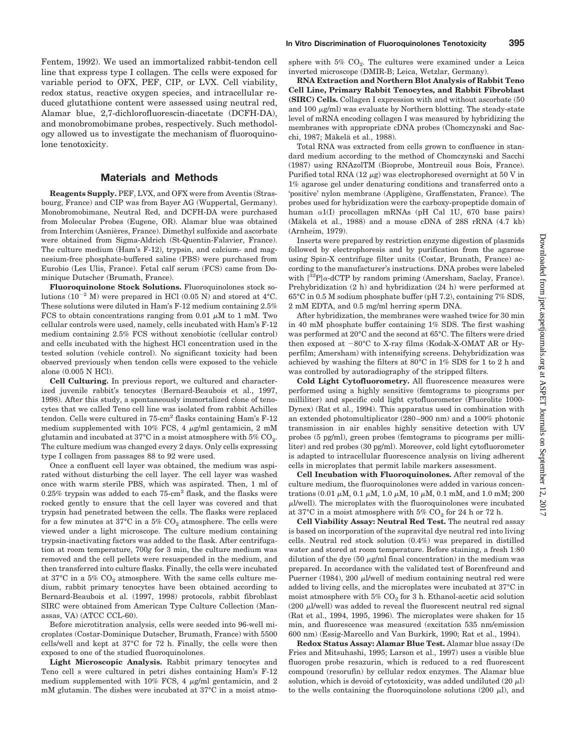Fentem, 1992). We used an immortalized rabbit-tendon cell line that express type I collagen. The cells were exposed for variable period to OFX, PEF, CIP, or LVX. Cell viability, redox status, reactive oxygen species, and intracellular reduced glutathione content were assessed using neutral red, Alamar blue, 2,7-dichlorofluorescin-diacetate (DCFH-DA), and monobromobimane probes, respectively. Such methodology allowed us to investigate the mechanism of fluoroquinolone tenotoxicity.

# **Materials and Methods**

**Reagents Supply.** PEF, LVX, and OFX were from Aventis (Strasbourg, France) and CIP was from Bayer AG (Wuppertal, Germany). Monobromobimane, Neutral Red, and DCFH-DA were purchased from Molecular Probes (Eugene, OR). Alamar blue was obtained from Interchim (Asnières, France). Dimethyl sulfoxide and ascorbate were obtained from Sigma-Aldrich (St-Quentin-Falavier, France). The culture medium (Ham's F-12), trypsin, and calcium- and magnesium-free phosphate-buffered saline (PBS) were purchased from Eurobio (Les Ulis, France). Fetal calf serum (FCS) came from Dominique Dutscher (Brumath, France).

**Fluoroquinolone Stock Solutions.** Fluoroquinolones stock solutions  $(10^{-2}$  M) were prepared in HCl  $(0.05$  N) and stored at 4°C. These solutions were diluted in Ham's F-12 medium containing 2.5% FCS to obtain concentrations ranging from 0.01  $\mu$ M to 1 mM. Two cellular controls were used, namely, cells incubated with Ham's F-12 medium containing 2.5% FCS without xenobiotic (cellular control) and cells incubated with the highest HCl concentration used in the tested solution (vehicle control). No significant toxicity had been observed previously when tendon cells were exposed to the vehicle alone (0.005 N HCl).

**Cell Culturing.** In previous report, we cultured and characterized juvenile rabbit's tenocytes (Bernard-Beaubois et al., 1997, 1998). After this study, a spontaneously immortalized clone of tenocytes that we called Teno cell line was isolated from rabbit Achilles tendon. Cells were cultured in 75-cm<sup>2</sup> flasks containing Ham's F-12 medium supplemented with 10% FCS, 4  $\mu$ g/ml gentamicin, 2 mM glutamin and incubated at 37°C in a moist atmosphere with  $5\%$  CO<sub>2</sub>. The culture medium was changed every 2 days. Only cells expressing type I collagen from passages 88 to 92 were used.

Once a confluent cell layer was obtained, the medium was aspirated without disturbing the cell layer. The cell layer was washed once with warm sterile PBS, which was aspirated. Then, 1 ml of  $0.25\%$  trypsin was added to each  $75\text{-cm}^2$  flask, and the flasks were rocked gently to ensure that the cell layer was covered and that trypsin had penetrated between the cells. The flasks were replaced for a few minutes at  $37^{\circ}$ C in a  $5\%$  CO<sub>2</sub> atmosphere. The cells were viewed under a light microscope. The culture medium containing trypsin-inactivating factors was added to the flask. After centrifugation at room temperature, 700*g* for 3 min, the culture medium was removed and the cell pellets were resuspended in the medium, and then transferred into culture flasks. Finally, the cells were incubated at 37 $^{\circ}$ C in a 5%  $CO_{2}$  atmosphere. With the same cells culture medium, rabbit primary tenocytes have been obtained according to Bernard-Beaubois et al. (1997, 1998) protocols, rabbit fibroblast SIRC were obtained from American Type Culture Collection (Manassas, VA) (ATCC CCL-60).

Before microtitration analysis, cells were seeded into 96-well microplates (Costar-Dominique Dutscher, Brumath, France) with 5500 cells/well and kept at 37°C for 72 h. Finally, the cells were then exposed to one of the studied fluoroquinolones.

**Light Microscopic Analysis.** Rabbit primary tenocytes and Teno cell s were cultured in petri dishes containing Ham's F-12 medium supplemented with  $10\%$  FCS, 4  $\mu$ g/ml gentamicin, and 2 mM glutamin. The dishes were incubated at 37°C in a moist atmosphere with  $5\%$  CO<sub>2</sub>. The cultures were examined under a Leica inverted microscope (DMIR-B; Leica, Wetzlar, Germany).

**RNA Extraction and Northern Blot Analysis of Rabbit Teno Cell Line, Primary Rabbit Tenocytes, and Rabbit Fibroblast (SIRC) Cells.** Collagen I expression with and without ascorbate (50 and 100  $\mu$ g/ml) was evaluate by Northern blotting. The steady-state level of mRNA encoding collagen I was measured by hybridizing the membranes with appropriate cDNA probes (Chomczynski and Sacchi, 1987; Mäkelä et al., 1988).

Total RNA was extracted from cells grown to confluence in standard medium according to the method of Chomczynski and Sacchi (1987) using RNAzolTM (Bioprobe, Montreuil sous Bois, France). Purified total RNA (12  $\mu$ g) was electrophoresed overnight at 50 V in 1% agarose gel under denaturing conditions and transferred onto a 'positive' nylon membrane (Appligène, Graffenstaten, France). The probes used for hybridization were the carboxy-propeptide domain of human  $\alpha$ 1(I) procollagen mRNAs (pH Cal 1U, 670 base pairs) (Mäkelä et al., 1988) and a mouse cDNA of  $28S$  rRNA  $(4.7 \text{ kb})$ (Arnheim, 1979).

Inserts were prepared by restriction enzyme digestion of plasmids followed by electrophoresis and by purification from the agarose using Spin-X centrifuge filter units (Costar, Brunath, France) according to the manufacturer's instructions. DNA probes were labeled with  $[{}^{32}P]\alpha$ -dCTP by random priming (Amersham, Saclay, France). Prehybridization (2 h) and hybridization (24 h) were performed at 65°C in 0.5 M sodium phosphate buffer (pH 7.2), containing 7% SDS, 2 mM EDTA, and 0.5 mg/ml herring sperm DNA.

After hybridization, the membranes were washed twice for 30 min in 40 mM phosphate buffer containing 1% SDS. The first washing was performed at 20°C and the second at 65°C. The filters were dried then exposed at  $-80^{\circ}\text{C}$  to X-ray films (Kodak-X-OMAT AR or Hyperfilm; Amersham) with intensifying screens. Dehybridization was achieved by washing the filters at 80°C in 1% SDS for 1 to 2 h and was controlled by autoradiography of the stripped filters.

**Cold Light Cytofluorometry.** All fluorescence measures were performed using a highly sensitive (femtograms to picograms per milliliter) and specific cold light cytofluorometer (Fluorolite 1000- Dynex) (Rat et al., 1994). This apparatus used in combination with an extended photomultiplicator (280–900 nm) and a 100% photonic transmission in air enables highly sensitive detection with UV probes (5 pg/ml), green probes (femtograms to picograms per milliliter) and red probes (30 pg/ml). Moreover, cold light cytofluorometer is adapted to intracellular fluorescence analysis on living adherent cells in microplates that permit labile markers assessment.

**Cell Incubation with Fluoroquinolones.** After removal of the culture medium, the fluoroquinolones were added in various concentrations (0.01  $\mu$ M, 0.1  $\mu$ M, 1.0  $\mu$ M, 10  $\mu$ M, 0.1 mM, and 1.0 mM; 200  $\mu$ l/well). The microplates with the fluoroquinolones were incubated at  $37^{\circ}$ C in a moist atmosphere with  $5\%$  CO<sub>2</sub> for 24 h or 72 h.

**Cell Viability Assay: Neutral Red Test.** The neutral red assay is based on incorporation of the supravital dye neutral red into living cells. Neutral red stock solution (0.4%) was prepared in distilled water and stored at room temperature. Before staining, a fresh 1:80 dilution of the dye (50  $\mu$ g/ml final concentration) in the medium was prepared. In accordance with the validated test of Borenfreund and Puerner (1984), 200  $\mu$ *l*/well of medium containing neutral red were added to living cells, and the microplates were incubated at 37°C in moist atmosphere with  $5\%$  CO<sub>2</sub> for 3 h. Ethanol-acetic acid solution  $(200 \mu$ I/well) was added to reveal the fluorescent neutral red signal (Rat et al., 1994, 1995, 1996). The microplates were shaken for 15 min, and fluorescence was measured (excitation 535 nm/emission 600 nm) (Essig-Marcello and Van Burkirk, 1990; Rat et al., 1994).

**Redox Status Assay: Alamar Blue Test.** Alamar blue assay (De Fries and Mitsuhashi, 1995; Larson et al., 1997) uses a visible blue fluorogen probe resazurin, which is reduced to a red fluorescent compound (resorufin) by cellular redox enzymes. The Alamar blue solution, which is devoid of cytotoxicity, was added undiluted  $(20 \mu l)$ to the wells containing the fluoroquinolone solutions  $(200 \mu l)$ , and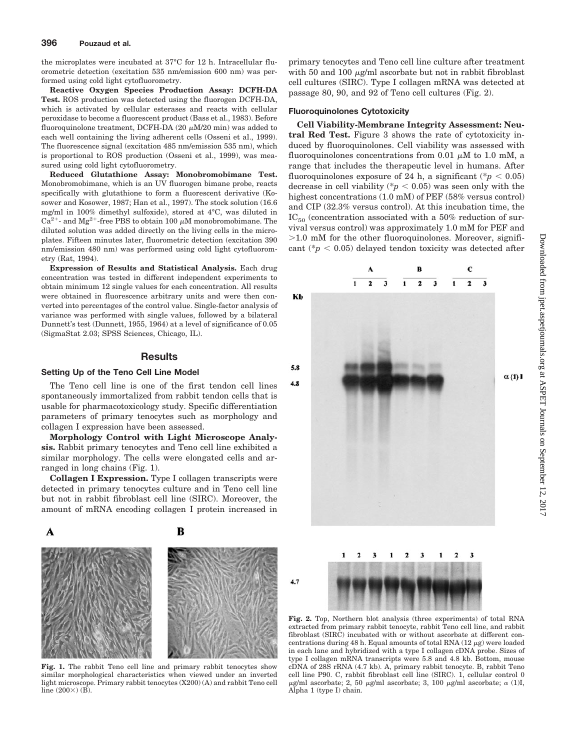the microplates were incubated at 37°C for 12 h. Intracellular fluorometric detection (excitation 535 nm/emission 600 nm) was performed using cold light cytofluorometry.

**Reactive Oxygen Species Production Assay: DCFH-DA Test.** ROS production was detected using the fluorogen DCFH-DA, which is activated by cellular esterases and reacts with cellular peroxidase to become a fluorescent product (Bass et al., 1983). Before fluoroquinolone treatment, DCFH-DA  $(20 \mu M/20 \text{ min})$  was added to each well containing the living adherent cells (Osseni et al., 1999). The fluorescence signal (excitation 485 nm/emission 535 nm), which is proportional to ROS production (Osseni et al., 1999), was measured using cold light cytofluorometry.

**Reduced Glutathione Assay: Monobromobimane Test.** Monobromobimane, which is an UV fluorogen bimane probe, reacts specifically with glutathione to form a fluorescent derivative (Kosower and Kosower, 1987; Han et al., 1997). The stock solution (16.6 mg/ml in 100% dimethyl sulfoxide), stored at 4°C, was diluted in  $Ca^{2+}$ - and  $Mg^{2+}$ -free PBS to obtain 100  $\mu$ M monobromobimane. The diluted solution was added directly on the living cells in the microplates. Fifteen minutes later, fluorometric detection (excitation 390 nm/emission 480 nm) was performed using cold light cytofluorometry (Rat, 1994).

**Expression of Results and Statistical Analysis.** Each drug concentration was tested in different independent experiments to obtain minimum 12 single values for each concentration. All results were obtained in fluorescence arbitrary units and were then converted into percentages of the control value. Single-factor analysis of variance was performed with single values, followed by a bilateral Dunnett's test (Dunnett, 1955, 1964) at a level of significance of 0.05 (SigmaStat 2.03; SPSS Sciences, Chicago, IL).

#### **Results**

#### **Setting Up of the Teno Cell Line Model**

The Teno cell line is one of the first tendon cell lines spontaneously immortalized from rabbit tendon cells that is usable for pharmacotoxicology study. Specific differentiation parameters of primary tenocytes such as morphology and collagen I expression have been assessed.

**Morphology Control with Light Microscope Analysis.** Rabbit primary tenocytes and Teno cell line exhibited a similar morphology. The cells were elongated cells and arranged in long chains (Fig. 1).

**Collagen I Expression.** Type I collagen transcripts were detected in primary tenocytes culture and in Teno cell line but not in rabbit fibroblast cell line (SIRC). Moreover, the amount of mRNA encoding collagen I protein increased in



Fig. 1. The rabbit Teno cell line and primary rabbit tenocytes show similar morphological characteristics when viewed under an inverted light microscope. Primary rabbit tenocytes (X200) (A) and rabbit Teno cell line  $(200\times)$  (B).

primary tenocytes and Teno cell line culture after treatment with 50 and 100  $\mu$ g/ml ascorbate but not in rabbit fibroblast cell cultures (SIRC). Type I collagen mRNA was detected at passage 80, 90, and 92 of Teno cell cultures (Fig. 2).

#### **Fluoroquinolones Cytotoxicity**

**Cell Viability-Membrane Integrity Assessment: Neutral Red Test.** Figure 3 shows the rate of cytotoxicity induced by fluoroquinolones. Cell viability was assessed with fluoroquinolones concentrations from 0.01  $\mu$ M to 1.0 mM, a range that includes the therapeutic level in humans. After fluoroquinolones exposure of 24 h, a significant ( $p < 0.05$ ) decrease in cell viability ( $p < 0.05$ ) was seen only with the highest concentrations (1.0 mM) of PEF (58% versus control) and CIP (32.3% versus control). At this incubation time, the  $IC_{50}$  (concentration associated with a 50% reduction of survival versus control) was approximately 1.0 mM for PEF and  $>1.0$  mM for the other fluoroquinolones. Moreover, significant ( $p < 0.05$ ) delayed tendon toxicity was detected after



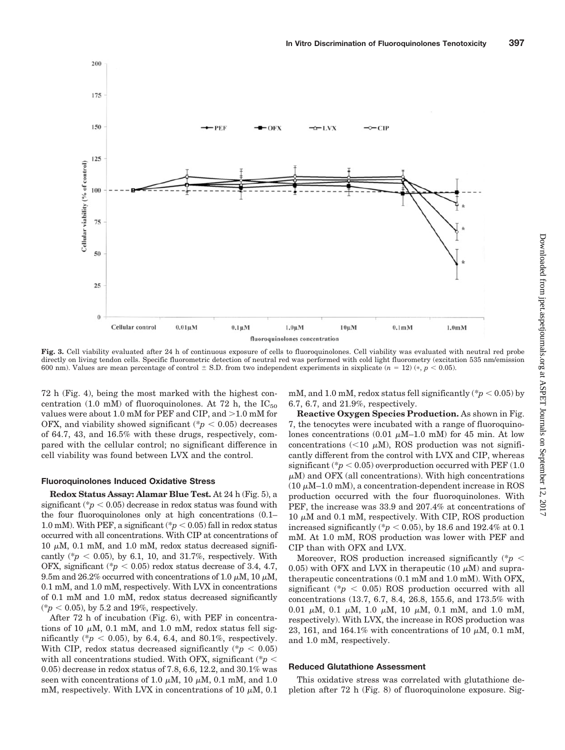

**Fig. 3.** Cell viability evaluated after 24 h of continuous exposure of cells to fluoroquinolones. Cell viability was evaluated with neutral red probe directly on living tendon cells. Specific fluorometric detection of neutral red was performed with cold light fluorometry (excitation 535 nm/emission 600 nm). Values are mean percentage of control  $\pm$  S.D. from two independent experiments in sixplicate ( $n = 12$ ) ( $*, p < 0.05$ ).

72 h (Fig. 4), being the most marked with the highest concentration (1.0 mM) of fluoroquinolones. At 72 h, the  $IC_{50}$ values were about 1.0 mM for PEF and CIP, and  $>1.0$  mM for OFX, and viability showed significant  $(*p < 0.05)$  decreases of 64.7, 43, and 16.5% with these drugs, respectively, compared with the cellular control; no significant difference in cell viability was found between LVX and the control.

#### **Fluoroquinolones Induced Oxidative Stress**

**Redox Status Assay: Alamar Blue Test.** At 24 h (Fig. 5), a significant  $(*p < 0.05)$  decrease in redox status was found with the four fluoroquinolones only at high concentrations (0.1– 1.0 mM). With PEF, a significant ( $p < 0.05$ ) fall in redox status occurred with all concentrations. With CIP at concentrations of  $10 \mu M$ ,  $0.1 \text{ mM}$ , and  $1.0 \text{ mM}$ , redox status decreased significantly ( ${}^*p$  < 0.05), by 6.1, 10, and 31.7%, respectively. With OFX, significant ( $p < 0.05$ ) redox status decrease of 3.4, 4.7, 9.5m and 26.2% occurred with concentrations of 1.0  $\mu$ M, 10  $\mu$ M, 0.1 mM, and 1.0 mM, respectively. With LVX in concentrations of 0.1 mM and 1.0 mM, redox status decreased significantly  $(*p < 0.05)$ , by 5.2 and 19%, respectively.

After 72 h of incubation (Fig. 6), with PEF in concentrations of 10  $\mu$ M, 0.1 mM, and 1.0 mM, redox status fell significantly (\* $p < 0.05$ ), by 6.4, 6.4, and 80.1%, respectively. With CIP, redox status decreased significantly  $(*p < 0.05)$ with all concentrations studied. With OFX, significant (\**p* 0.05) decrease in redox status of 7.8, 6.6, 12.2, and 30.1% was seen with concentrations of 1.0  $\mu$ M, 10  $\mu$ M, 0.1 mM, and 1.0 mM, respectively. With LVX in concentrations of 10  $\mu$ M, 0.1

mM, and 1.0 mM, redox status fell significantly ( $p < 0.05$ ) by 6.7, 6.7, and 21.9%, respectively.

**Reactive Oxygen Species Production.** As shown in Fig. 7, the tenocytes were incubated with a range of fluoroquinolones concentrations (0.01  $\mu$ M–1.0 mM) for 45 min. At low concentrations (<10  $\mu$ M), ROS production was not significantly different from the control with LVX and CIP, whereas significant ( $p < 0.05$ ) overproduction occurred with PEF (1.0)  $\mu$ M) and OFX (all concentrations). With high concentrations  $(10 \mu M-1.0 \text{ m})$ , a concentration-dependent increase in ROS production occurred with the four fluoroquinolones. With PEF, the increase was 33.9 and 207.4% at concentrations of  $10 \mu$ M and  $0.1 \text{ mM}$ , respectively. With CIP, ROS production increased significantly ( $p < 0.05$ ), by 18.6 and 192.4% at 0.1 mM. At 1.0 mM, ROS production was lower with PEF and CIP than with OFX and LVX.

Moreover, ROS production increased significantly (\**p* 0.05) with OFX and LVX in the rapeutic (10  $\mu$ M) and supratherapeutic concentrations (0.1 mM and 1.0 mM). With OFX, significant ( $p < 0.05$ ) ROS production occurred with all concentrations (13.7, 6.7, 8.4, 26.8, 155.6, and 173.5% with 0.01  $\mu$ M, 0.1  $\mu$ M, 1.0  $\mu$ M, 10  $\mu$ M, 0.1 mM, and 1.0 mM, respectively). With LVX, the increase in ROS production was 23, 161, and 164.1% with concentrations of 10  $\mu$ M, 0.1 mM, and 1.0 mM, respectively.

#### **Reduced Glutathione Assessment**

This oxidative stress was correlated with glutathione depletion after 72 h (Fig. 8) of fluoroquinolone exposure. Sig-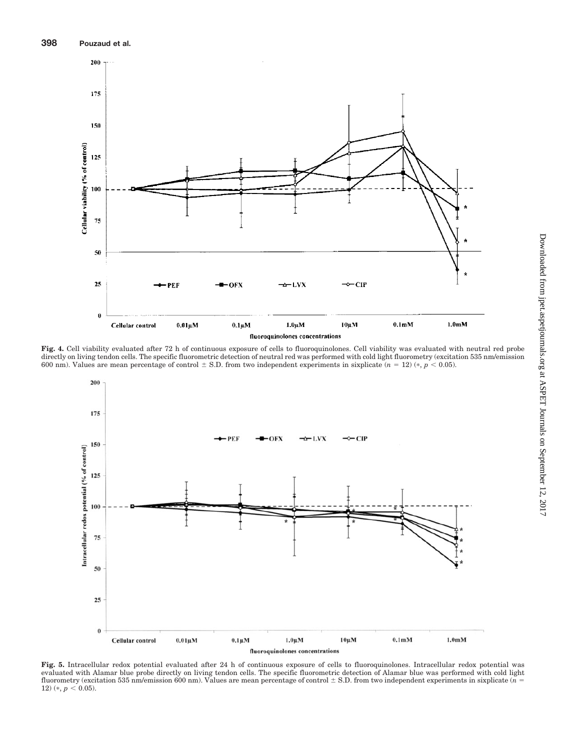

**Fig. 4.** Cell viability evaluated after 72 h of continuous exposure of cells to fluoroquinolones. Cell viability was evaluated with neutral red probe directly on living tendon cells. The specific fluorometric detection of neutral red was performed with cold light fluorometry (excitation 535 nm/emission 600 nm). Values are mean percentage of control  $\pm$  S.D. from two independent experiments in sixplicate  $(n = 12)$  ( $*, p < 0.05$ ).



**Fig. 5.** Intracellular redox potential evaluated after 24 h of continuous exposure of cells to fluoroquinolones. Intracellular redox potential was evaluated with Alamar blue probe directly on living tendon cells. The specific fluorometric detection of Alamar blue was performed with cold light fluorometry (excitation 535 nm/emission 600 nm). Values are mean percentage of control S.D. from two independent experiments in sixplicate (*n* 12) (\*,  $p < 0.05$ ).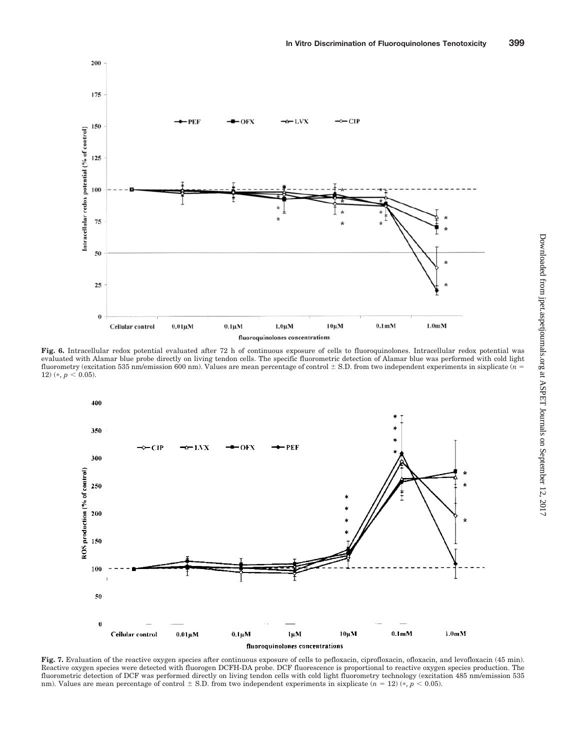

**Fig. 6.** Intracellular redox potential evaluated after 72 h of continuous exposure of cells to fluoroquinolones. Intracellular redox potential was evaluated with Alamar blue probe directly on living tendon cells. The specific fluorometric detection of Alamar blue was performed with cold light fluorometry (excitation 535 nm/emission 600 nm). Values are mean percentage of control  $\pm$  S.D. from two independent experiments in sixplicate ( $n =$ 12)  $(*, p < 0.05)$ .



Fig. 7. Evaluation of the reactive oxygen species after continuous exposure of cells to pefloxacin, ciprofloxacin, ofloxacin, and levofloxacin (45 min). Reactive oxygen species were detected with fluorogen DCFH-DA probe. DCF fluorescence is proportional to reactive oxygen species production. The fluorometric detection of DCF was performed directly on living tendon cells with cold light fluorometry technology (excitation 485 nm/emission 535 nm). Values are mean percentage of control  $\pm$  S.D. from two independent experiments in sixplicate ( $n = 12$ ) ( $*, p < 0.05$ ).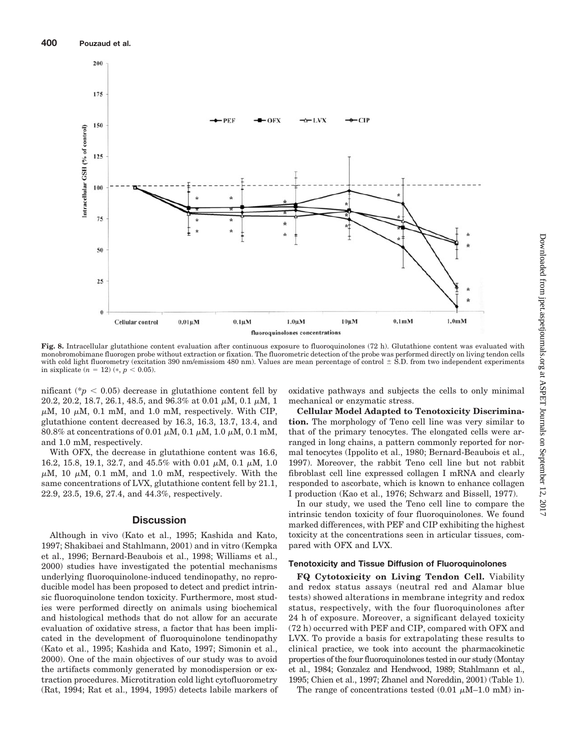

Fig. 8. Intracellular glutathione content evaluation after continuous exposure to fluoroquinolones (72 h). Glutathione content was evaluated with monobromobimane fluorogen probe without extraction or fixation. The fluorometric detection of the probe was performed directly on living tendon cells with cold light fluorometry (excitation 390 nm/emissiom 480 nm). Values are mean percentage of control  $\pm$  S.D. from two independent experiments in sixplicate  $(n = 12)$  (\*,  $p < 0.05$ ).

nificant ( $p < 0.05$ ) decrease in glutathione content fell by 20.2, 20.2, 18.7, 26.1, 48.5, and 96.3% at 0.01  $\mu$ M, 0.1  $\mu$ M, 1  $\mu$ M, 10  $\mu$ M, 0.1 mM, and 1.0 mM, respectively. With CIP, glutathione content decreased by 16.3, 16.3, 13.7, 13.4, and 80.8% at concentrations of 0.01  $\mu$ M, 0.1  $\mu$ M, 1.0  $\mu$ M, 0.1 mM, and 1.0 mM, respectively.

With OFX, the decrease in glutathione content was 16.6, 16.2, 15.8, 19.1, 32.7, and 45.5% with 0.01  $\mu$ M, 0.1  $\mu$ M, 1.0  $\mu$ M, 10  $\mu$ M, 0.1 mM, and 1.0 mM, respectively. With the same concentrations of LVX, glutathione content fell by 21.1, 22.9, 23.5, 19.6, 27.4, and 44.3%, respectively.

### **Discussion**

Although in vivo (Kato et al., 1995; Kashida and Kato, 1997; Shakibaei and Stahlmann, 2001) and in vitro (Kempka et al., 1996; Bernard-Beaubois et al., 1998; Williams et al., 2000) studies have investigated the potential mechanisms underlying fluoroquinolone-induced tendinopathy, no reproducible model has been proposed to detect and predict intrinsic fluoroquinolone tendon toxicity. Furthermore, most studies were performed directly on animals using biochemical and histological methods that do not allow for an accurate evaluation of oxidative stress, a factor that has been implicated in the development of fluoroquinolone tendinopathy (Kato et al., 1995; Kashida and Kato, 1997; Simonin et al., 2000). One of the main objectives of our study was to avoid the artifacts commonly generated by monodispersion or extraction procedures. Microtitration cold light cytofluorometry (Rat, 1994; Rat et al., 1994, 1995) detects labile markers of oxidative pathways and subjects the cells to only minimal mechanical or enzymatic stress.

**Cellular Model Adapted to Tenotoxicity Discrimination.** The morphology of Teno cell line was very similar to that of the primary tenocytes. The elongated cells were arranged in long chains, a pattern commonly reported for normal tenocytes (Ippolito et al., 1980; Bernard-Beaubois et al., 1997). Moreover, the rabbit Teno cell line but not rabbit fibroblast cell line expressed collagen I mRNA and clearly responded to ascorbate, which is known to enhance collagen I production (Kao et al., 1976; Schwarz and Bissell, 1977).

In our study, we used the Teno cell line to compare the intrinsic tendon toxicity of four fluoroquinolones. We found marked differences, with PEF and CIP exhibiting the highest toxicity at the concentrations seen in articular tissues, compared with OFX and LVX.

# **Tenotoxicity and Tissue Diffusion of Fluoroquinolones**

**FQ Cytotoxicity on Living Tendon Cell.** Viability and redox status assays (neutral red and Alamar blue tests) showed alterations in membrane integrity and redox status, respectively, with the four fluoroquinolones after 24 h of exposure. Moreover, a significant delayed toxicity (72 h) occurred with PEF and CIP, compared with OFX and LVX. To provide a basis for extrapolating these results to clinical practice, we took into account the pharmacokinetic properties of the four fluoroquinolones tested in our study (Montay et al., 1984; Gonzalez and Hendwood, 1989; Stahlmann et al., 1995; Chien et al., 1997; Zhanel and Noreddin, 2001) (Table 1).

The range of concentrations tested  $(0.01 \mu M - 1.0 \text{ mM})$  in-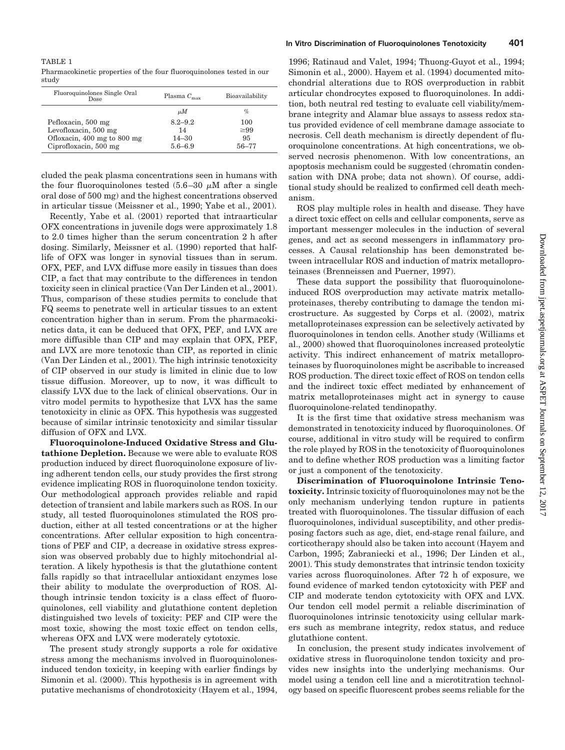#### TABLE 1

Pharmacokinetic properties of the four fluoroquinolones tested in our study

| Fluoroquinolones Single Oral<br>Dose                                                               | Plasma $C_{\text{max}}$                       | Bioavailability                     |
|----------------------------------------------------------------------------------------------------|-----------------------------------------------|-------------------------------------|
|                                                                                                    | иΜ                                            | $\%$                                |
| Pefloxacin, 500 mg<br>Levofloxacin, 500 mg<br>Ofloxacin, 400 mg to 800 mg<br>Ciprofloxacin, 500 mg | $8.2 - 9.2$<br>14<br>$14 - 30$<br>$5.6 - 6.9$ | 100<br>$\geq 99$<br>95<br>$56 - 77$ |

cluded the peak plasma concentrations seen in humans with the four fluoroquinolones tested  $(5.6-30 \mu M)$  after a single oral dose of 500 mg) and the highest concentrations observed in articular tissue (Meissner et al., 1990; Yabe et al., 2001).

Recently, Yabe et al. (2001) reported that intraarticular OFX concentrations in juvenile dogs were approximately 1.8 to 2.0 times higher than the serum concentration 2 h after dosing. Similarly, Meissner et al. (1990) reported that halflife of OFX was longer in synovial tissues than in serum. OFX, PEF, and LVX diffuse more easily in tissues than does CIP, a fact that may contribute to the differences in tendon toxicity seen in clinical practice (Van Der Linden et al., 2001). Thus, comparison of these studies permits to conclude that FQ seems to penetrate well in articular tissues to an extent concentration higher than in serum. From the pharmacokinetics data, it can be deduced that OFX, PEF, and LVX are more diffusible than CIP and may explain that OFX, PEF, and LVX are more tenotoxic than CIP, as reported in clinic (Van Der Linden et al., 2001). The high intrinsic tenotoxicity of CIP observed in our study is limited in clinic due to low tissue diffusion. Moreover, up to now, it was difficult to classify LVX due to the lack of clinical observations. Our in vitro model permits to hypothesize that LVX has the same tenotoxicity in clinic as OFX. This hypothesis was suggested because of similar intrinsic tenotoxicity and similar tissular diffusion of OFX and LVX.

**Fluoroquinolone-Induced Oxidative Stress and Glutathione Depletion.** Because we were able to evaluate ROS production induced by direct fluoroquinolone exposure of living adherent tendon cells, our study provides the first strong evidence implicating ROS in fluoroquinolone tendon toxicity. Our methodological approach provides reliable and rapid detection of transient and labile markers such as ROS. In our study, all tested fluoroquinolones stimulated the ROS production, either at all tested concentrations or at the higher concentrations. After cellular exposition to high concentrations of PEF and CIP, a decrease in oxidative stress expression was observed probably due to highly mitochondrial alteration. A likely hypothesis is that the glutathione content falls rapidly so that intracellular antioxidant enzymes lose their ability to modulate the overproduction of ROS. Although intrinsic tendon toxicity is a class effect of fluoroquinolones, cell viability and glutathione content depletion distinguished two levels of toxicity: PEF and CIP were the most toxic, showing the most toxic effect on tendon cells, whereas OFX and LVX were moderately cytotoxic.

The present study strongly supports a role for oxidative stress among the mechanisms involved in fluoroquinolonesinduced tendon toxicity, in keeping with earlier findings by Simonin et al. (2000). This hypothesis is in agreement with putative mechanisms of chondrotoxicity (Hayem et al., 1994,

1996; Ratinaud and Valet, 1994; Thuong-Guyot et al., 1994; Simonin et al., 2000). Hayem et al. (1994) documented mitochondrial alterations due to ROS overproduction in rabbit articular chondrocytes exposed to fluoroquinolones. In addition, both neutral red testing to evaluate cell viability/membrane integrity and Alamar blue assays to assess redox status provided evidence of cell membrane damage associate to necrosis. Cell death mechanism is directly dependent of fluoroquinolone concentrations. At high concentrations, we observed necrosis phenomenon. With low concentrations, an apoptosis mechanism could be suggested (chromatin condensation with DNA probe; data not shown). Of course, additional study should be realized to confirmed cell death mechanism.

ROS play multiple roles in health and disease. They have a direct toxic effect on cells and cellular components, serve as important messenger molecules in the induction of several genes, and act as second messengers in inflammatory processes. A Causal relationship has been demonstrated between intracellular ROS and induction of matrix metalloproteinases (Brenneissen and Puerner, 1997).

These data support the possibility that fluoroquinoloneinduced ROS overproduction may activate matrix metalloproteinases, thereby contributing to damage the tendon microstructure. As suggested by Corps et al. (2002), matrix metalloproteinases expression can be selectively activated by fluoroquinolones in tendon cells. Another study (Williams et al., 2000) showed that fluoroquinolones increased proteolytic activity. This indirect enhancement of matrix metalloproteinases by fluoroquinolones might be ascribable to increased ROS production. The direct toxic effect of ROS on tendon cells and the indirect toxic effect mediated by enhancement of matrix metalloproteinases might act in synergy to cause fluoroquinolone-related tendinopathy.

It is the first time that oxidative stress mechanism was demonstrated in tenotoxicity induced by fluoroquinolones. Of course, additional in vitro study will be required to confirm the role played by ROS in the tenotoxicity of fluoroquinolones and to define whether ROS production was a limiting factor or just a component of the tenotoxicity.

**Discrimination of Fluoroquinolone Intrinsic Tenotoxicity.** Intrinsic toxicity of fluoroquinolones may not be the only mechanism underlying tendon rupture in patients treated with fluoroquinolones. The tissular diffusion of each fluoroquinolones, individual susceptibility, and other predisposing factors such as age, diet, end-stage renal failure, and corticotherapy should also be taken into account (Hayem and Carbon, 1995; Zabraniecki et al., 1996; Der Linden et al., 2001). This study demonstrates that intrinsic tendon toxicity varies across fluoroquinolones. After 72 h of exposure, we found evidence of marked tendon cytotoxicity with PEF and CIP and moderate tendon cytotoxicity with OFX and LVX. Our tendon cell model permit a reliable discrimination of fluoroquinolones intrinsic tenotoxicity using cellular markers such as membrane integrity, redox status, and reduce glutathione content.

In conclusion, the present study indicates involvement of oxidative stress in fluoroquinolone tendon toxicity and provides new insights into the underlying mechanisms. Our model using a tendon cell line and a microtitration technology based on specific fluorescent probes seems reliable for the